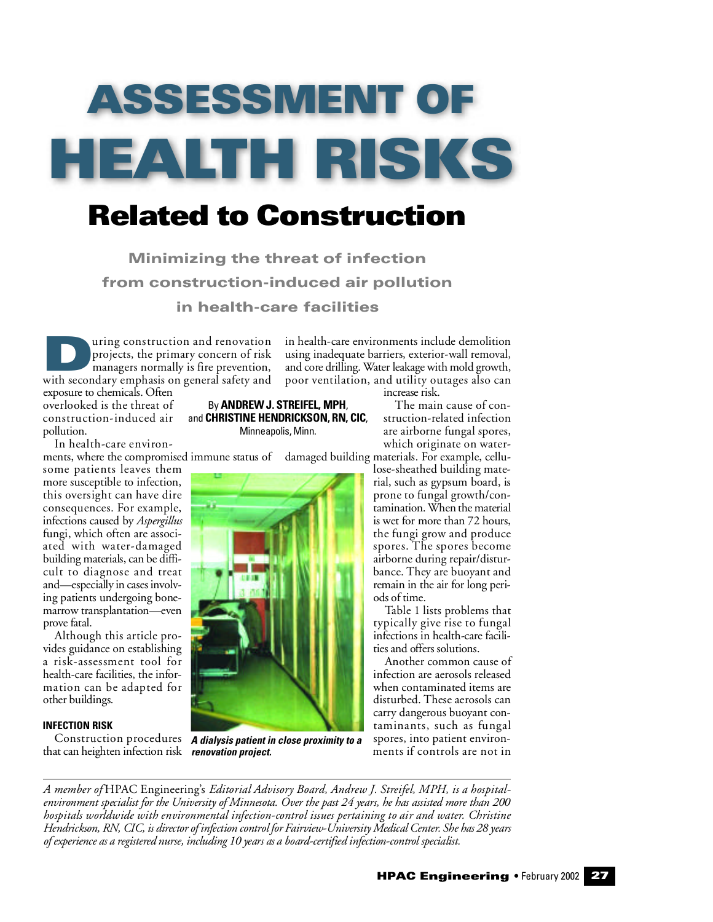# ASSESSMENT OF H E A LTH RISKS

# Related to Construction

Minimizing the threat of infection from construction-induced air pollution in health-care facilities

a puring construction and renovation<br>projects, the primary concern of risk<br>managers normally is fire prevention,<br>with secondary emphasis on general safety and uring construction and renovation projects, the primary concern of risk managers normally is fire prevention,

in health-care environments include demolition using inadequate barriers, exterior-wall removal, and core drilling. Water leakage with mold growth, poor ventilation, and utility outages also can

increase risk.

The main cause of construction-related infection are airborne fungal spores,

lose-sheathed building material, such as gypsum board, is prone to fungal growth/contamination. When the material is wet for more than 72 hours, the fungi grow and produce spores. The spores become airborne during repair/distur-

exposure to chemicals. Often overlooked is the threat of construction-induced air pollution.

In health-care environ-

ments, where the compromised immune status of  $\;$  damaged building materials. For example, cellusome patients leaves them more susceptible to infection, this oversight can have dire consequences. For example, infections caused by *Aspergillus* fungi, which often are associated with water-damaged building materials, can be difficult to diagnose and treat and—especially in cases involv-

ing patients undergoing bonemarrow transplantation—even p rove fatal.

Although this article provides guidance on establishing a risk-assessment tool for health-care facilities, the information can be adapted for other buildings.

# **INFECTION RISK**

that can heighten infection risk *renovation project.*

By **ANDREW J. STREIFEL, MPH**, and **CHRISTINE HENDRICKSON, RN, CIC,** Minneapolis, Minn.

Construction procedures A dialysis patient in close proximity to a

which originate on water-

bance. They are buoyant and remain in the air for long periods of time. Table 1 lists problems that typically give rise to fungal infections in health-care facilities and offers solutions. Another common cause of infection are aerosols released when contaminated items are disturbed. These aerosols can carry dangerous buoyant contaminants, such as fungal

spores, into patient environments if controls are not in

A member of HPAC Engineering's *Editorial Advisory Board, Andrew J. Streifel, MPH, is a hospitale n v i ronment specialist for the Un i versity of Minnesota. Over the past 24 years, he has assisted more than 200 hospitals worldwide with environmental infection-control issues pertaining to air and water. Christine Hendrickson, RN, CIC, is director of infection control for Fairview-University Medical Center. She has 28 years* of experience as a registered nurse, including 10 years as a board-certified infection-control specialist.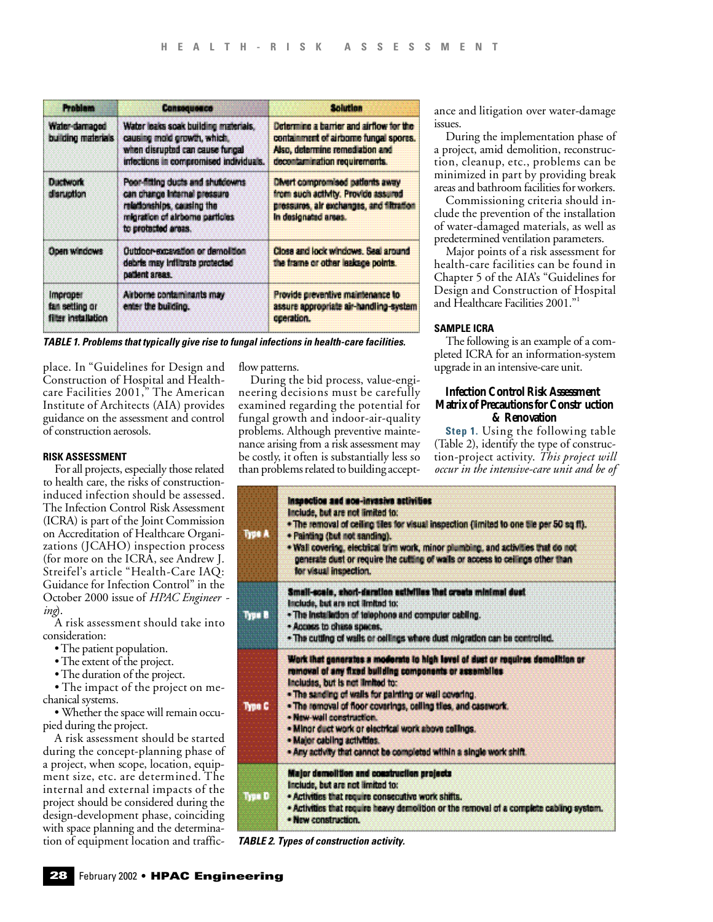| <b>Problem</b>                                                                                                                                                                             | Cansoquesco                                                                                                                                      | <b>Solution</b>                                                                                                                                       |  |
|--------------------------------------------------------------------------------------------------------------------------------------------------------------------------------------------|--------------------------------------------------------------------------------------------------------------------------------------------------|-------------------------------------------------------------------------------------------------------------------------------------------------------|--|
| Water-damaged<br>building materials                                                                                                                                                        | Water leaks soak building materials,<br>causing mold growth, which,<br>when disrupted can cause fungal<br>infections in compromised individuals. | Determine a barrier and airflow for the<br>containment of airborne fungal spores.<br>Also, determine remediation and<br>decontamination requirements. |  |
| <b>Ductwork</b><br>Poor-fitting ducts and shutdowns<br>can change internal pressure<br>disruption<br>relationships, causing the<br>migration of airborne particles.<br>to protected areas. |                                                                                                                                                  | <b>Olvert compromised patients away</b><br>from such activity. Provide assured<br>pressures, air exchanges, and filtration<br>In designated areas.    |  |
| <b>Open windows</b><br>Outdoor-excevation or demolition<br>debris may inflitrate protected<br>patient areas.                                                                               |                                                                                                                                                  | Closs and lock windows. Seal around<br>the frame or other leakage points.                                                                             |  |
| <i><b>Improper</b></i><br>fan setting or<br>filter installation                                                                                                                            | Airborne contaminants may<br>enter the building.                                                                                                 | Provide preventive maintenance to<br>assure appropriate air-handling-system<br>cceration.                                                             |  |

*TABLE 1. Problems that typically give rise to fungal infections in health-care facilities.*

place. In "Guidelines for Design and Construction of Hospital and Healthcare Facilities 2001," The American Institute of Architects (AIA) provides guidance on the assessment and control of construction aerosols.

## **RISK ASSESSMENT**

For all projects, especially those related to health care, the risks of constructioninduced infection should be assessed. The Infection Control Risk Assessment (ICRA) is part of the Joint Commission on Accreditation of Healthcare Organizations (JCAHO) inspection process (for more on the ICRA, see Andrew J. Streifel's article "Health-Care IAQ: Guidance for Infection Control" in the October 2000 issue of *HPAC Engineer ing*).

A risk assessment should take into consideration:

- The patient population.
- The extent of the project.
- The duration of the project.

• The impact of the project on mechanical systems.

• Whether the space will remain occupied during the project.

A risk assessment should be started during the concept-planning phase of a project, when scope, location, equipment size, etc. are determined. The internal and external impacts of the p roject should be considered during the design-development phase, coinciding with space planning and the determination of equipment location and trafficflow patterns.

During the bid process, value-engineering decisions must be carefully examined regarding the potential for fungal growth and indoor-air-quality problems. Although preventive maintenance arising from a risk assessment may be costly, it often is substantially less so than problems related to building acceptance and litigation over water-damage issues.

During the implementation phase of a project, amid demolition, reconstruction, cleanup, etc., problems can be minimized in part by providing break areas and bathroom facilities for workers.

Commissioning criteria should include the prevention of the installation of water-damaged materials, as well as p redetermined ventilation parameters.

Major points of a risk assessment for health-care facilities can be found in Chapter 5 of the AIA's "Guidelines for Design and Construction of Hospital and Healthcare Facilities 2001."

# **SAMPLE ICRA**

The following is an example of a completed ICRA for an information-system upgrade in an intensive-care unit.

# **Infection Control Risk Assessment Matrix of Precautions for Constr uction**  $&$  Renovation

**Step 1.** Using the following table (Table 2), identify the type of construction-project activity. *This project will occur in the intensive - c a re unit and be of*

| Type A | Inspection and non-invasive activities<br>Include, but are not limited to:<br>. The removal of ceiling tiles for visual inspection (limited to one ble per 50 sq ft).<br>· Painting (but not sanding).<br>. Wall covering, electrical trim work, minor plumbing, and activities that do not<br>generate dust or require the cutting of walls or access to ceilings other than<br>for visual inspection.                                                                                           |  |  |  |
|--------|---------------------------------------------------------------------------------------------------------------------------------------------------------------------------------------------------------------------------------------------------------------------------------------------------------------------------------------------------------------------------------------------------------------------------------------------------------------------------------------------------|--|--|--|
| Type B | Small-scale, short-deretion activities that create minimal dust<br>Include, but are not limited to:<br>. The installation of telephone and computer cabiing.<br>· Access to chase speces.<br>. The cutting of walls or cellings where dust migration can be controlled.                                                                                                                                                                                                                           |  |  |  |
| Type C | Work that generates a moderate to high lavel of dust or requires demolition or<br>removal of any fixed building components or assemblies<br>Includes, but is not limited to:<br>. The sanding of walls for painting or wall covering.<br>. The removal of floor coverings, celling tiles, and casework.<br>- New-wall construction.<br>· Minor duct work or electrical work above collings.<br>. Major cabiing activities.<br>- Any activity that cannot be completed within a single work shift. |  |  |  |
| Type D | Major demolition and construction projects<br>Include, but are not limited to:<br>. Activities that require consecutive work shifts.<br>. Activities that require heavy demolition or the removal of a complete cabling system.<br>· New construction.                                                                                                                                                                                                                                            |  |  |  |

*TABLE 2. Types of construction activity.*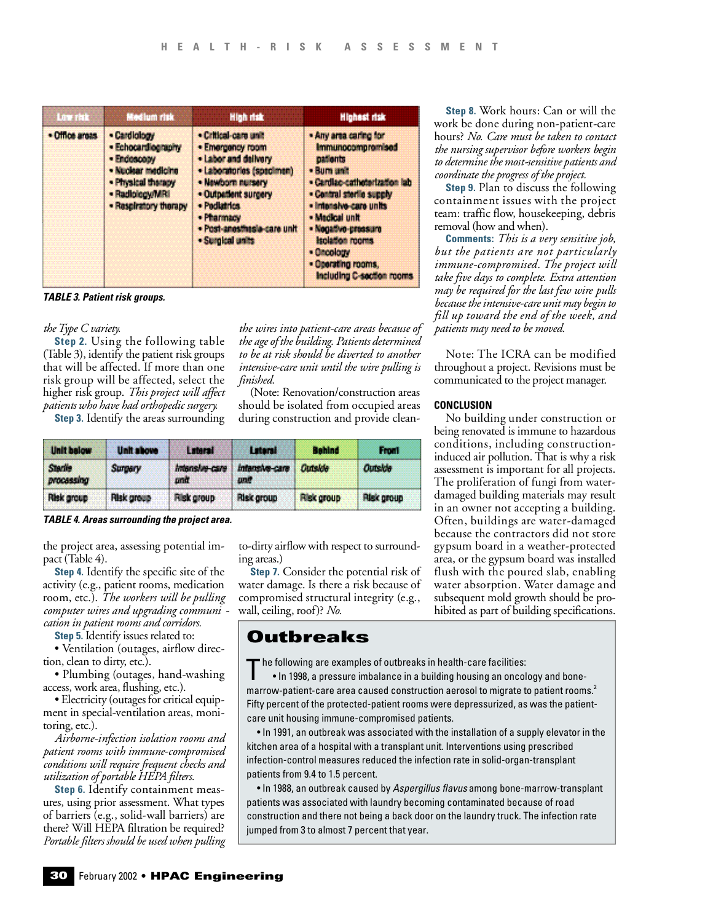| <b>Low risk</b> | <b>Medium risk</b>                                                                                                                        | High risk                                                                                                                                                                                                                   | Highest risk                                                                                                                                                                                                                                                                                    |  |
|-----------------|-------------------------------------------------------------------------------------------------------------------------------------------|-----------------------------------------------------------------------------------------------------------------------------------------------------------------------------------------------------------------------------|-------------------------------------------------------------------------------------------------------------------------------------------------------------------------------------------------------------------------------------------------------------------------------------------------|--|
| · Office aroas  | - Cardiology<br>· Echocardiography<br>- Endoscopy<br>- Nuclear medicine<br>- Physical therapy<br>· Radiology/MRI<br>- Respiratory therapy | . Critical-care unit<br>· Emergency room<br>. Labor and delivery<br>- Laboratories (specimen)<br>. Newborn nursery<br>· Outpatient surgery<br>· Padlatrics<br>· Pharmacy<br>· Post-anosthesia-care unit<br>· Surgical units | . Any area caring for<br><b>Immunocompromised</b><br>patients<br>· Burn and<br>· Cardiac-catholerization lab<br>. Contral storile supply<br>· Intersive-care units<br>. Medical unit<br>· Negative-pressure<br>Isolation rooms<br>· Oncology<br>· Operating rooms,<br>Including C-section rooms |  |

*TABLE 3. Patient risk groups.*

### *the Type C variety.*

**Step 2.** Using the following table  $(Table 3)$ , identify the patient risk groups that will be affected. If more than one risk group will be affected, select the higher risk group. *This project will affect patients who have had orthopedic surgery.*

**Step 3.** Identify the areas surrounding

*the wires into patient-care areas because of the age of the building. Patients determined to be at risk should be dive rted to another intensive-care unit until the wire pulling is f i n i s h e d .*

(Note: Renovation/construction areas should be isolated from occupied areas during construction and provide clean-

| <b>Unit below</b>            | <b>Unit show</b>  | Luteral               | Lateral               | <b>Behind</b>     | <b>Front</b>      |
|------------------------------|-------------------|-----------------------|-----------------------|-------------------|-------------------|
| <b>Startie</b><br>procassing | Surgery           | intensive-care<br>und | intansive-care<br>une | Cutside           | Outside           |
| Risk group                   | <b>Risk group</b> | <b>Risk group</b>     | Risk group            | <b>Risk group</b> | <b>Risk group</b> |

*TABLE 4. Areas surrounding the project area.*

the project area, assessing potential impact (Table 4).

**Step 4.** Identify the specific site of the activity (e.g., patient rooms, medication room, etc.). *The workers will be pulling computer wires and upgrading communi cation in patient rooms and corridors.*

**Step 5.** Identify issues related to:

• Ventilation (outages, airflow direction, clean to dirty, etc.).

• Plumbing (outages, hand-washing access, work area, flushing, etc.).

• Electricity (outages for critical equipment in special-ventilation areas, monitoring, etc.).

*A i r b o rne-infection isolation rooms and patient rooms with immune-compromised conditions will re q u i re frequent checks and utilization of portable HEPA filters.*

**Step 6.** Identify containment measures, using prior assessment. What types of barriers (e.g., solid-wall barriers) are there? Will HEPA filtration be required? *Po rtable filters should be used when pulling* to-dirty airflow with respect to surrounding areas.)

**Step 7.** Consider the potential risk of water damage. Is there a risk because of compromised structural integrity (e.g., wall, ceiling, roof)? *No.* 

# Outbreaks

The following are examples of outbreaks in health-care facilities:<br>In 1998, a pressure imbalance in a building housing an oncom-• In 1998, a pressure imbalance in a building housing an oncology and bonemarrow-patient-care area caused construction aerosol to migrate to patient rooms. $^2$ Fifty percent of the protected-patient rooms were depressurized, as was the patientcare unit housing immune-compromised patients.

• In 1991, an outbreak was associated with the installation of a supply elevator in the kitchen area of a hospital with a transplant unit. Interventions using prescribed infection-control measures reduced the infection rate in solid-organ-transplant patients from 9.4 to 1.5 percent.

• In 1988, an outbreak caused by *Aspergillus flavus* among bone-marrow-transplant patients was associated with laundry becoming contaminated because of road construction and there not being a back door on the laundry truck. The infection rate jumped from 3 to almost 7 percent that year.

**Step 8.** Work hours: Can or will the work be done during non-patient-care hours? *No. Ca re must be taken to contact the nursing supervisor before workers begin to determine the most-sensitive patients and c o o rdinate the pro g ress of the pro j e c t .*

**Step 9.** Plan to discuss the following containment issues with the project team: traffic flow, housekeeping, debris removal (how and when).

**Comments:** *This is a very sensitive job*, *but the patients are not part i c u l a rly i m m u n e - c o m p romised. The project will take five days to complete. Ex t ra attention may be re q u i red for the last few wire pulls because the intensive - c a re unit may begin to fill up tow a rd the end of the week, and patients may need to be moved.* 

Note: The ICRA can be modified throughout a project. Revisions must be communicated to the project manager.

#### **CONCLUSION**

No building under construction or being renovated is immune to hazardous conditions, including constructioninduced air pollution. That is why a risk assessment is important for all projects. The proliferation of fungi from waterdamaged building materials may result in an owner not accepting a building. Often, buildings are water-damaged because the contractors did not store gypsum board in a weather-protected area, or the gypsum board was installed flush with the poured slab, enabling water absorption. Water damage and subsequent mold growth should be prohibited as part of building specifications.